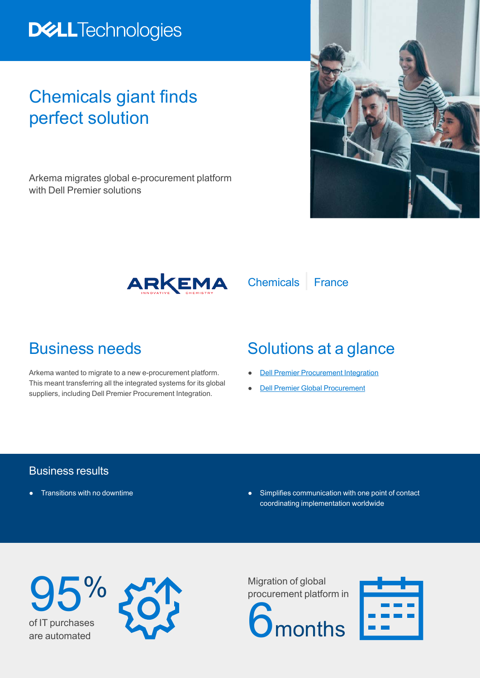# **DELLTechnologies**

## Chemicals giant finds perfect solution

Arkema migrates global e-procurement platform with Dell Premier solutions





Arkema wanted to migrate to a new e-procurement platform. This meant transferring all the integrated systems for its global suppliers, including Dell Premier Procurement Integration.

## Business needs Solutions at a glance

- **[Dell Premier Procurement Integration](https://www.delltechnologies.com/en-us/premier-solutions/procurement-integration.htm#)**
- **[Dell Premier Global Procurement](https://www.delltechnologies.com/en-us/premier-solutions/global-procurement.htm#accordion0)**

Chemicals | France

### Business results

- 
- **Transitions with no downtime example and contact example and contact example Simplifies communication with one point of contact** coordinating implementation worldwide





Migration of global procurement platform in **I**months

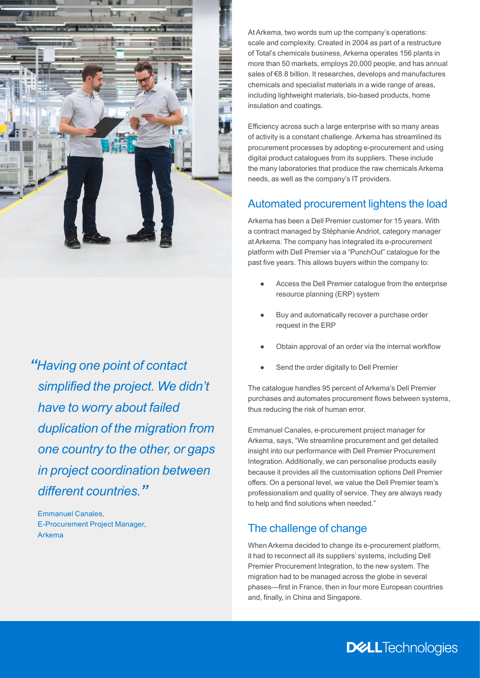

*"Having one point of contact simplified the project. We didn't have to worry about failed duplication of the migration from one country to the other, or gaps in project coordination between different countries."*

Emmanuel Canales, E-Procurement Project Manager, Arkema

At Arkema, two words sum up the company's operations: scale and complexity. Created in 2004 as part of a restructure of Total's chemicals business, Arkema operates 156 plants in more than 50 markets, employs 20,000 people, and has annual sales of €8.8 billion. It researches, develops and manufactures chemicals and specialist materials in a wide range of areas, including lightweight materials, bio-based products, home insulation and coatings.

Efficiency across such a large enterprise with so many areas of activity is a constant challenge. Arkema has streamlined its procurement processes by adopting e-procurement and using digital product catalogues from its suppliers. These include the many laboratories that produce the raw chemicals Arkema needs, as well as the company's IT providers.

#### Automated procurement lightens the load

Arkema has been a Dell Premier customer for 15 years. With a contract managed by Stéphanie Andriot, category manager at Arkema. The company has integrated its e-procurement platform with Dell Premier via a "PunchOut" catalogue for the past five years. This allows buyers within the company to:

- Access the Dell Premier catalogue from the enterprise resource planning (ERP) system
- Buy and automatically recover a purchase order request in the ERP
- Obtain approval of an order via the internal workflow
- Send the order digitally to Dell Premier

The catalogue handles 95 percent of Arkema's Dell Premier purchases and automates procurement flows between systems, thus reducing the risk of human error.

Emmanuel Canales, e-procurement project manager for Arkema, says, "We streamline procurement and get detailed insight into our performance with Dell Premier Procurement Integration. Additionally, we can personalise products easily because it provides all the customisation options Dell Premier offers. On a personal level, we value the Dell Premier team's professionalism and quality of service. They are always ready to help and find solutions when needed."

### The challenge of change

When Arkema decided to change its e-procurement platform, it had to reconnect all its suppliers' systems, including Dell Premier Procurement Integration, to the new system. The migration had to be managed across the globe in several phases—first in France, then in four more European countries and, finally, in China and Singapore.